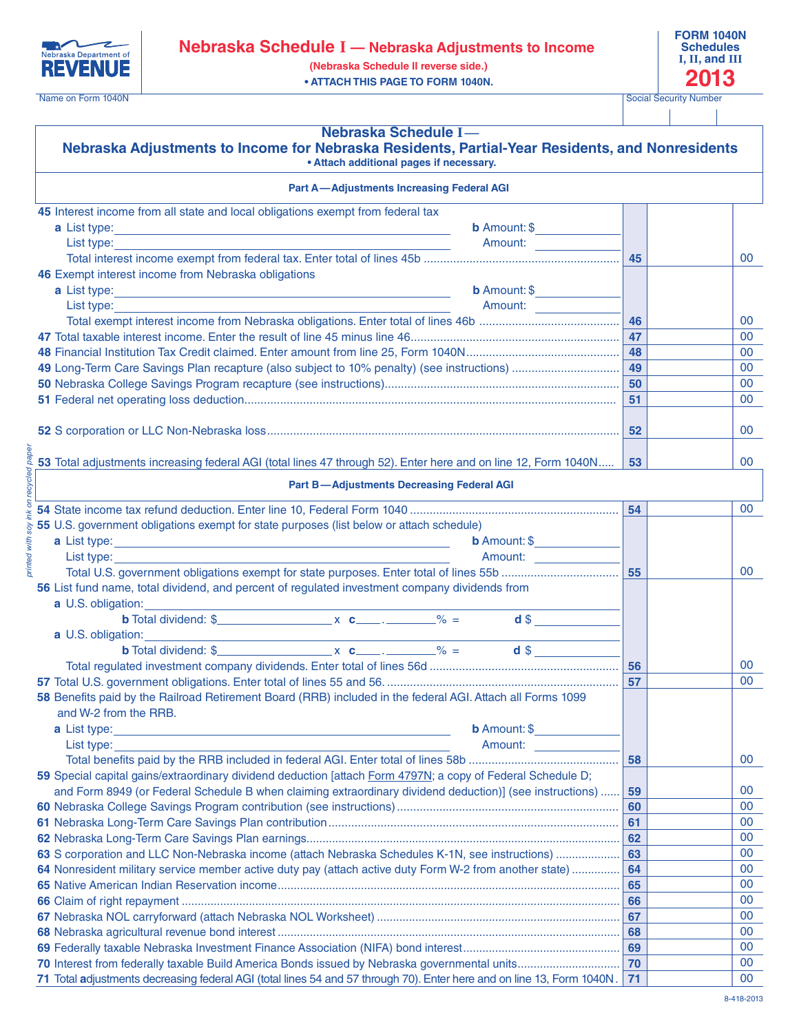



Name on Form 1040N Social Security Number

| Nebraska Schedule I-<br>Nebraska Adjustments to Income for Nebraska Residents, Partial-Year Residents, and Nonresidents<br>• Attach additional pages if necessary.                                                                           |    |    |
|----------------------------------------------------------------------------------------------------------------------------------------------------------------------------------------------------------------------------------------------|----|----|
| <b>Part A-Adjustments Increasing Federal AGI</b>                                                                                                                                                                                             |    |    |
| 45 Interest income from all state and local obligations exempt from federal tax                                                                                                                                                              |    |    |
| <b>b</b> Amount: $$$<br>a List type:                                                                                                                                                                                                         |    |    |
| List type:<br>Amount: Amount: Amount: Amount: Amount: Amount: Amount: Amount: Amount: Amount: Amount: Amount: Amount: Amount: Amount: Amount: Amount: Amount: Amount: Amount: Amount: Amount: Amount: Amount: Amount: Amount: Amount: Amount |    |    |
|                                                                                                                                                                                                                                              | 45 | 00 |
| 46 Exempt interest income from Nebraska obligations                                                                                                                                                                                          |    |    |
| a List type:<br><b>b</b> Amount: $\$$<br><u> 1980 - Johann Barbara, martxa alemaniar arg</u>                                                                                                                                                 |    |    |
| List type:<br>Amount:                                                                                                                                                                                                                        |    |    |
|                                                                                                                                                                                                                                              | 46 | 00 |
|                                                                                                                                                                                                                                              | 47 | 00 |
|                                                                                                                                                                                                                                              | 48 | 00 |
|                                                                                                                                                                                                                                              | 49 | 00 |
|                                                                                                                                                                                                                                              | 50 | 00 |
|                                                                                                                                                                                                                                              | 51 | 00 |
|                                                                                                                                                                                                                                              |    |    |
|                                                                                                                                                                                                                                              | 52 | 00 |
|                                                                                                                                                                                                                                              |    |    |
| 53 Total adjustments increasing federal AGI (total lines 47 through 52). Enter here and on line 12, Form 1040N                                                                                                                               | 53 | 00 |
| on recycled pape.<br><b>Part B-Adjustments Decreasing Federal AGI</b>                                                                                                                                                                        |    |    |
|                                                                                                                                                                                                                                              | 54 | 00 |
| 55 U.S. government obligations exempt for state purposes (list below or attach schedule)                                                                                                                                                     |    |    |
| <b>b</b> Amount: $\$$                                                                                                                                                                                                                        |    |    |
| List type: the contract of the contract of the contract of the contract of the contract of the contract of the                                                                                                                               |    |    |
| printed                                                                                                                                                                                                                                      | 55 | 00 |
| 56 List fund name, total dividend, and percent of regulated investment company dividends from                                                                                                                                                |    |    |
| a U.S. obligation:                                                                                                                                                                                                                           |    |    |
| $d$ \$                                                                                                                                                                                                                                       |    |    |
| a U.S. obligation:<br><u> 1989 - Johann Stein, marwolaethau a bhann an t-Amhain Aonaichte ann an t-Amhain Aonaichte ann an t-Amhain Aon</u>                                                                                                  |    |    |
|                                                                                                                                                                                                                                              |    |    |
|                                                                                                                                                                                                                                              | 56 | 00 |
|                                                                                                                                                                                                                                              | 57 | 00 |
| 58 Benefits paid by the Railroad Retirement Board (RRB) included in the federal AGI. Attach all Forms 1099                                                                                                                                   |    |    |
| and W-2 from the RRB. The state of the state of the state of the state of the state of the state of the state of the state of the state of the state of the state of the state of the state of the state of the state of the s               |    |    |
| <b>b</b> Amount: \$<br><b>a</b> List type: <b>a</b> List type: <b>a</b> List type:                                                                                                                                                           |    |    |
| Amount: Amount:<br>List type:                                                                                                                                                                                                                |    |    |
|                                                                                                                                                                                                                                              | 58 | 00 |
| 59 Special capital gains/extraordinary dividend deduction [attach Form 4797N; a copy of Federal Schedule D;                                                                                                                                  |    |    |
| and Form 8949 (or Federal Schedule B when claiming extraordinary dividend deduction)] (see instructions)                                                                                                                                     | 59 | 00 |
|                                                                                                                                                                                                                                              | 60 | 00 |
|                                                                                                                                                                                                                                              | 61 | 00 |
|                                                                                                                                                                                                                                              | 62 | 00 |
| 63 S corporation and LLC Non-Nebraska income (attach Nebraska Schedules K-1N, see instructions)                                                                                                                                              | 63 | 00 |
| 64 Nonresident military service member active duty pay (attach active duty Form W-2 from another state)                                                                                                                                      | 64 | 00 |
|                                                                                                                                                                                                                                              | 65 | 00 |
|                                                                                                                                                                                                                                              | 66 | 00 |
|                                                                                                                                                                                                                                              | 67 | 00 |
|                                                                                                                                                                                                                                              | 68 | 00 |
|                                                                                                                                                                                                                                              | 69 | 00 |
|                                                                                                                                                                                                                                              | 70 | 00 |
| 71 Total adjustments decreasing federal AGI (total lines 54 and 57 through 70). Enter here and on line 13, Form 1040N.                                                                                                                       | 71 | 00 |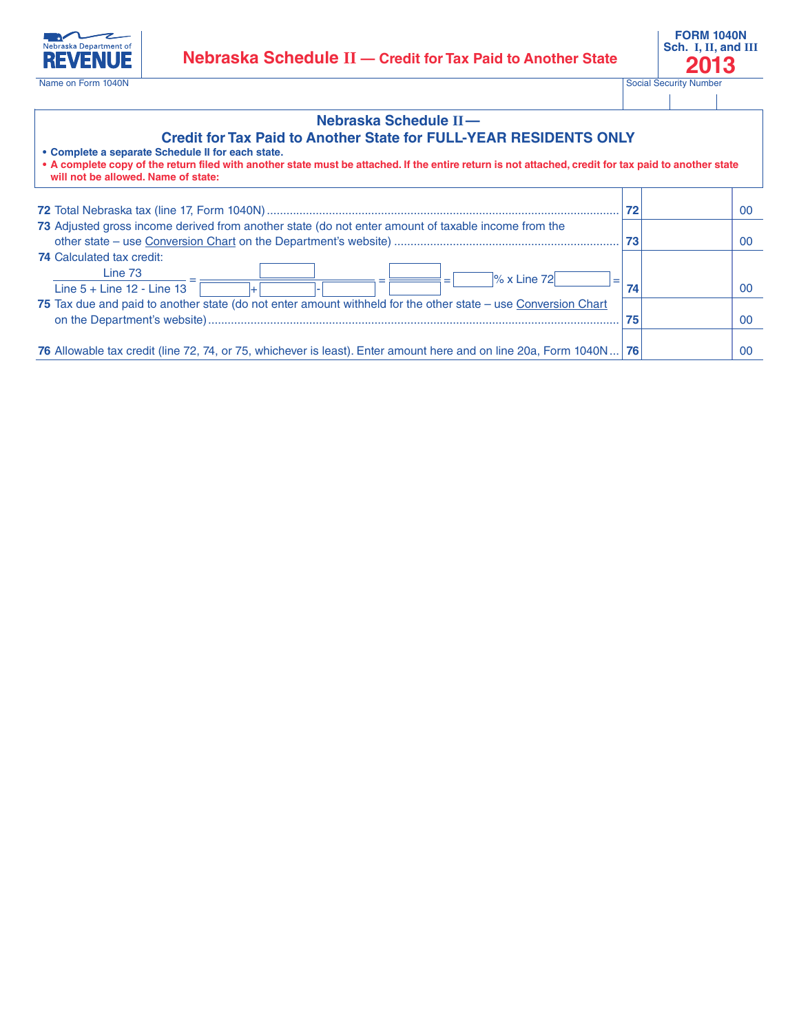

## **Nebraska Schedule II—**

## **Credit for Tax Paid to Another State for FULL-YEAR RESIDENTS ONLY**

| • Complete a separate Schedule II for each state.<br>• A complete copy of the return filed with another state must be attached. If the entire return is not attached, credit for tax paid to another state<br>will not be allowed. Name of state: |    |    |
|---------------------------------------------------------------------------------------------------------------------------------------------------------------------------------------------------------------------------------------------------|----|----|
|                                                                                                                                                                                                                                                   | 72 | 00 |
| 73 Adjusted gross income derived from another state (do not enter amount of taxable income from the                                                                                                                                               | 73 | 00 |
| <b>74 Calculated tax credit:</b>                                                                                                                                                                                                                  |    |    |
| Line 73<br>$\frac{8}{2}$ x Line 72<br>$=$<br>Line $5 +$ Line $12 -$ Line $13$                                                                                                                                                                     | 74 | 00 |
| 75 Tax due and paid to another state (do not enter amount withheld for the other state – use Conversion Chart                                                                                                                                     |    |    |
|                                                                                                                                                                                                                                                   | 75 | 00 |
| 76 Allowable tax credit (line 72, 74, or 75, whichever is least). Enter amount here and on line 20a, Form 1040N   76                                                                                                                              |    | 00 |